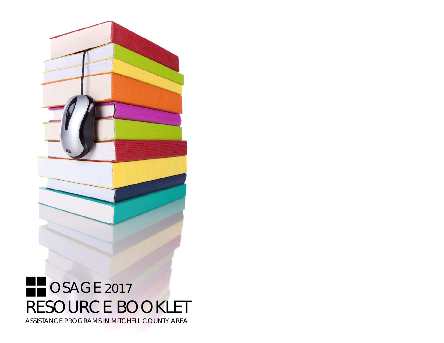

ASSISTANCE PROGRAMS IN MITCHELL COUNTY AREA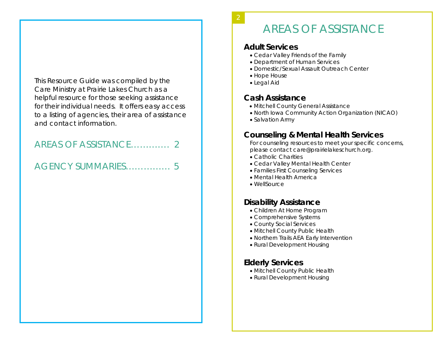This Resource Guide was compiled by the Care Ministry at Prairie Lakes Church as a helpful resource for those seeking assistance for their individual needs. It offers easy access to a listing of agencies, their area of assistance and contact information.

## AREAS OF ASSISTANCE…………. 2

## AGENCY SUMMARIES…………… 5

# AREAS OF ASSISTANCE

### **Adult Services**

2

- Cedar Valley Friends of the Family
- Department of Human Services
- Domestic/Sexual Assault Outreach Center
- Hope House
- Legal Aid

## **Cash Assistance**

- Mitchell County General Assistance
- North Iowa Community Action Organization (NICAO)
- Salvation Army

## **Counseling & Mental Health Services**

For counseling resources to meet your specific concerns, please contact *care@prairielakeschurch.org.*

- Catholic Charities
- Cedar Valley Mental Health Center
- Families First Counseling Services
- Mental Health America
- WellSource

## **Disability Assistance**

- Children At Home Program
- Comprehensive Systems
- County Social Services
- Mitchell County Public Health
- Northern Trails AEA Early Intervention
- Rural Development Housing

## **Elderly Services**

- Mitchell County Public Health
- Rural Development Housing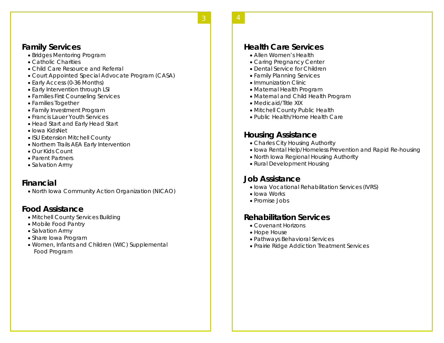### **Family Services**

- Bridges Mentoring Program
- Catholic Charities
- Child Care Resource and Referral
- Court Appointed Special Advocate Program (CASA)
- Early Access (0-36 Months)
- Early Intervention through LSI
- Families First Counseling Services
- Families Together
- Family Investment Program
- Francis Lauer Youth Services
- Head Start and Early Head Start
- Iowa KidsNet
- ISU Extension Mitchell County
- Northern Trails AEA Early Intervention
- Our Kids Count
- Parent Partners
- Salvation Army

## **Financial**

North Iowa Community Action Organization (NICAO)

## **Food Assistance**

- Mitchell County Services Building
- Mobile Food Pantry
- Salvation Army
- Share Iowa Program
- Women, Infants and Children (WIC) Supplemental Food Program

### **Health Care Services**

- Allen Women's Health
- Caring Pregnancy Center
- Dental Service for Children
- Family Planning Services
- Immunization Clinic
- Maternal Health Program
- Maternal and Child Health Program
- Medicaid/Title XIX
- Mitchell County Public Health
- Public Health/Home Health Care

## **Housing Assistance**

- Charles City Housing Authority
- Iowa Rental Help/Homeless Prevention and Rapid Re-housing
- North Iowa Regional Housing Authority
- Rural Development Housing

## **Job Assistance**

- Iowa Vocational Rehabilitation Services (IVRS)
- Iowa Works
- Promise Jobs

## **Rehabilitation Services**

- Covenant Horizons
- Hope House
- Pathways Behavioral Services
- Prairie Ridge Addiction Treatment Services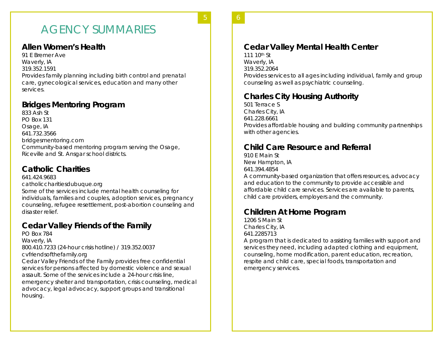# AGENCY SUMMARIES

**4** 5

### **Allen Women's Health**

91 E Bremer Ave Waverly, IA 319.352.1591 Provides family planning including birth control and prenatal care, gynecological services, education and many other services.

### **Bridges Mentoring Program**

833 Ash St PO Box 131 Osage, IA 641.732.3566 bridgesmentoring.com Community-based mentoring program serving the Osage, Riceville and St. Ansgar school districts.

### **Catholic Charities**

641.424.9683 catholiccharitiesdubuque.org Some of the services include mental health counseling for individuals, families and couples, adoption services, pregnancy counseling, refugee resettlement, post-abortion counseling and disaster relief.

### **Cedar Valley Friends of the Family**

PO Box 784 Waverly, IA 800.410.7233 (24-hour crisis hotline) / 319.352.0037 cvfriendsofthefamily.org Cedar Valley Friends of the Family provides free confidential services for persons affected by domestic violence and sexual assault. Some of the services include a 24-hour crisis line, emergency shelter and transportation, crisis counseling, medical advocacy, legal advocacy, support groups and transitional housing.

6 **5** 

### **Cedar Valley Mental Health Center**

111 10th St Waverly, IA 319.352.2064 Provides services to all ages including individual, family and group counseling as well as psychiatric counseling.

### **Charles City Housing Authority**

501 Terrace S Charles City, IA 641.228.6661 Provides affordable housing and building community partnerships with other agencies.

### **Child Care Resource and Referral**

910 E Main St New Hampton, IA 641.394.4854 A community-based organization that offers resources, advocacy and education to the community to provide accessible and affordable child care services. Services are available to parents, child care providers, employers and the community.

### **Children At Home Program**

1206 S Main St Charles City, IA 641.2285713

A program that is dedicated to assisting families with support and services they need, including adapted clothing and equipment, counseling, home modification, parent education, recreation, respite and child care, special foods, transportation and emergency services.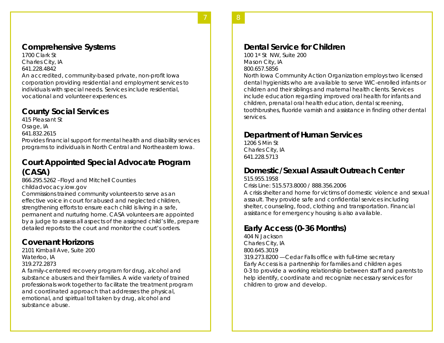### **Comprehensive Systems**

1700 Clark St Charles City, IA 641.228.4842 An accredited, community-based private, non-profit Iowa corporation providing residential and employment services to individuals with special needs. Services include residential, vocational and volunteer experiences.

**6** 7

### **County Social Services**

415 Pleasant St Osage, IA 641.832.2615 Provides financial support for mental health and disability services programs to individuals in North Central and Northeastern Iowa.

### **Court Appointed Special Advocate Program (CASA)**

866.295.5262 –Floyd and Mitchell Counties childadvocacy.iow.gov

Commissions trained community volunteers to serve as an effective voice in court for abused and neglected children, strengthening efforts to ensure each child is living in a safe, permanent and nurturing home. CASA volunteers are appointed by a judge to assess all aspects of the assigned child's life, prepare detailed reports to the court and monitor the court's orders.

## **Covenant Horizons**

2101 Kimball Ave, Suite 200 Waterloo, IA 319.272.2873

A family-centered recovery program for drug, alcohol and substance abusers and their families. A wide variety of trained professionals work together to facilitate the treatment program and coordinated approach that addresses the physical, emotional, and spiritual toll taken by drug, alcohol and substance abuse.

100 1st St NW, Suite 200 Mason City, IA 800.657.5856

North Iowa Community Action Organization employs two licensed dental hygienists who are available to serve WIC-enrolled infants or children and their siblings and maternal health clients. Services include education regarding improved oral health for infants and children, prenatal oral health education, dental screening, toothbrushes, fluoride varnish and assistance in finding other dental services.

8 **7** 

### **Department of Human Services**

1206 S Min St Charles City, IA 641.228.5713

### **Domestic/Sexual Assault Outreach Center**

515.955.1958 Crisis Line: 515.573.8000 / 888.356.2006

A crisis shelter and home for victims of domestic violence and sexual assault. They provide safe and confidential services including shelter, counseling, food, clothing and transportation. Financial assistance for emergency housing is also available.

## **Early Access (0-36 Months)**

404 N Jackson Charles City, IA 800.645.3019 319.273.8200 —Cedar Falls office with full-time secretary Early Access is a partnership for families and children ages 0-3 to provide a working relationship between staff and parents to help identify, coordinate and recognize necessary services for children to grow and develop.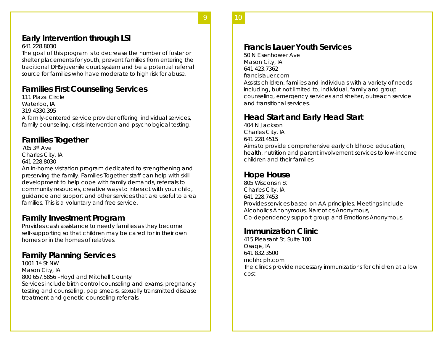### **Early Intervention through LSI**

### 641.228.8030

The goal of this program is to decrease the number of foster or shelter placements for youth, prevent families from entering the traditional DHS/juvenile court system and be a potential referral source for families who have moderate to high risk for abuse.

**8** 9

## **Families First Counseling Services**

111 Plaza Circle Waterloo, IA 319.4330.395 A family-centered service provider offering individual services,

family counseling, crisis intervention and psychological testing.

### **Families Together**

705 3rd Ave Charles City, IA 641.228.8030

An in-home visitation program dedicated to strengthening and preserving the family. Families Together staff can help with skill development to help cope with family demands, referrals to community resources, creative ways to interact with your child, guidance and support and other services that are useful to area families. This is a voluntary and free service.

### **Family Investment Program**

Provides cash assistance to needy families as they become self-supporting so that children may be cared for in their own homes or in the homes of relatives.

### **Family Planning Services**

1001 1st St NW Mason City, IA 800.657.5856 –Floyd and Mitchell County Services include birth control counseling and exams, pregnancy testing and counseling, pap smears, sexually transmitted disease treatment and genetic counseling referrals.

### **Francis Lauer Youth Services**

50 N Eisenhower Ave Mason City, IA 641.423.7362 francislauer.com Assists children, families and individuals with a variety of needs including, but not limited to, individual, family and group counseling, emergency services and shelter, outreach service and transitional services.

### **Head Start and Early Head Start**

404 N Jackson Charles City, IA 641.228.4515 Aims to provide comprehensive early childhood education, health, nutrition and parent involvement services to low-income children and their families.

10 **9** 

### **Hope House**

805 Wisconsin St Charles City, IA 641.228.7453 Provides services based on AA principles. Meetings include Alcoholics Anonymous, Narcotics Anonymous, Co-dependency support group and Emotions Anonymous.

### **Immunization Clinic**

415 Pleasant St, Suite 100 Osage, IA 641.832.3500 mchhcph.com The clinics provide necessary immunizations for children at a low cost.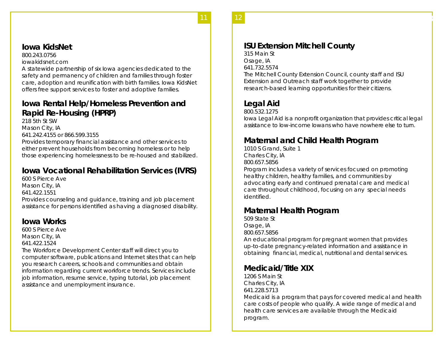### **Iowa KidsNet**

800.243.0756

iowakidsnet.com

A statewide partnership of six Iowa agencies dedicated to the safety and permanency of children and families through foster care, adoption and reunification with birth families. Iowa KidsNet offers free support services to foster and adoptive families.

**10** 11

### **Iowa Rental Help/Homeless Prevention and Rapid Re-Housing (HPRP)**

218 5th St SW Mason City, IA 641.242.4155 or 866.599.3155 Provides temporary financial assistance and other services to either prevent households from becoming homeless or to help those experiencing homelessness to be re-housed and stabilized.

## **Iowa Vocational Rehabilitation Services (IVRS)**

600 S Pierce Ave Mason City, IA 641.422.1551

Provides counseling and guidance, training and job placement assistance for persons identified as having a diagnosed disability.

## **Iowa Works**

600 S Pierce Ave Mason City, IA 641.422.1524

The Workforce Development Center staff will direct you to computer software, publications and Internet sites that can help you research careers, schools and communities and obtain information regarding current workforce trends. Services include job information, resume service, typing tutorial, job placement assistance and unemployment insurance.

## **ISU Extension Mitchell County**

315 Main St Osage, IA 641.732.5574 The Mitchell County Extension Council, county staff and ISU Extension and Outreach staff work together to provide research-based learning opportunities for their citizens.

12 **13** 

## **Legal Aid**

800.532.1275

Iowa Legal Aid is a nonprofit organization that provides critical legal assistance to low-income Iowans who have nowhere else to turn.

## **Maternal and Child Health Program**

1010 S Grand, Suite 1 Charles City, IA 800.657.5856 Program includes a variety of services focused on promoting healthy children, healthy families, and communities by advocating early and continued prenatal care and medical care throughout childhood, focusing on any special needs identified.

### **Maternal Health Program**

509 State St Osage, IA 800.657.5856

An educational program for pregnant women that provides up-to-date pregnancy-related information and assistance in obtaining financial, medical, nutritional and dental services.

## **Medicaid/Title XIX**

1206 S Main St Charles City, IA 641.228.5713 Medicaid is a program that pays for covered medical and health care costs of people who qualify. A wide range of medical and health care services are available through the Medicaid program.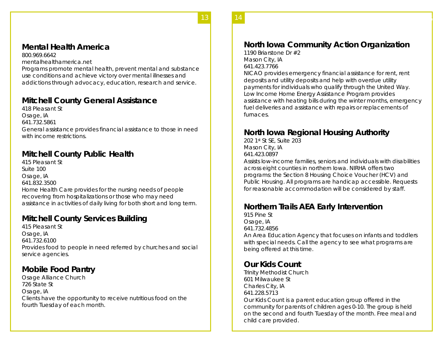### **Mental Health America**

800.969.6642

mentalhealthamerica.net

Programs promote mental health, prevent mental and substance use conditions and achieve victory over mental illnesses and addictions through advocacy, education, research and service.

**13 13** 

### **Mitchell County General Assistance**

418 Pleasant St Osage, IA 641.732.5861 General assistance provides financial assistance to those in need with income restrictions.

### **Mitchell County Public Health**

415 Pleasant St Suite 100 Osage, IA 641.832.3500 Home Health Care provides for the nursing needs of people recovering from hospitalizations or those who may need assistance in activities of daily living for both short and long term.

## **Mitchell County Services Building**

415 Pleasant St Osage, IA 641.732.6100 Provides food to people in need referred by churches and social service agencies.

### **Mobile Food Pantry**

Osage Alliance Church 726 State St Osage, IA Clients have the opportunity to receive nutritious food on the fourth Tuesday of each month.

## **North Iowa Community Action Organization**

14 **15** 

1190 Briarstone Dr #2 Mason City, IA 641.423.7766

NICAO provides emergency financial assistance for rent, rent deposits and utility deposits and help with overdue utility payments for individuals who qualify through the United Way. Low Income Home Energy Assistance Program provides assistance with heating bills during the winter months, emergency fuel deliveries and assistance with repairs or replacements of furnaces.

### **North Iowa Regional Housing Authority**

202 1st St SE, Suite 203 Mason City, IA 641.423.0897

Assists low-income families, seniors and individuals with disabilities across eight counties in northern Iowa. NIRHA offers two programs: the Section 8 Housing Choice Voucher (HCV) and Public Housing. All programs are handicap accessible. Requests for reasonable accommodation will be considered by staff.

### **Northern Trails AEA Early Intervention**

915 Pine St Osage, IA 641.732.4856 An Area Education Agency that focuses on infants and toddlers with special needs. Call the agency to see what programs are being offered at this time.

### **Our Kids Count**

Trinity Methodist Church 601 Milwaukee St Charles City, IA 641.228.5713 Our Kids Count is a parent education group offered in the community for parents of children ages 0-10. The group is held on the second and fourth Tuesday of the month. Free meal and child care provided.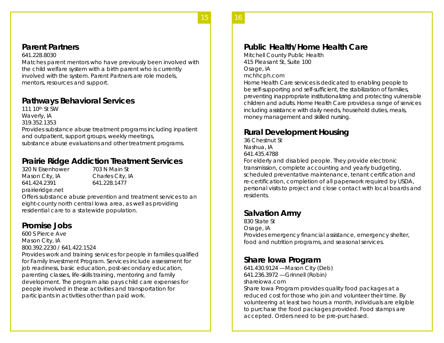### **Parent Partners**

### 641.228.8030

Matches parent mentors who have previously been involved with the child welfare system with a birth parent who is currently involved with the system. Parent Partners are role models, mentors, resources and support.

**16** 15

### **Pathways Behavioral Services**

111 10th St SW Waverly, IA 319.352.1353 Provides substance abuse treatment programs including inpatient and outpatient, support groups, weekly meetings, substance abuse evaluations and other treatment programs.

## **Prairie Ridge Addiction Treatment Services**

320 N Eisenhower 703 N Main St Mason City, IA Charles City, IA 641.424.2391 641.228.1477 prairieridge.net

Offers substance abuse prevention and treatment services to an eight-county north central Iowa area, as well as providing residential care to a statewide population.

### **Promise Jobs**

600 S Pierce Ave Mason City, IA 800.392.2230 / 641.422.1524

Provides work and training services for people in families qualified for Family Investment Program. Services include assessment for job readiness, basic education, post-secondary education, parenting classes, life-skills training, mentoring and family development. The program also pays child care expenses for people involved in these activities and transportation for participants in activities other than paid work.

## **Public Health/Home Health Care**

Mitchell County Public Health 415 Pleasant St, Suite 100 Osage, IA mchhcph.com

Home Health Care services is dedicated to enabling people to be self-supporting and self-sufficient, the stabilization of families, preventing inappropriate institutionalizing and protecting vulnerable children and adults. Home Health Care provides a range of services including assistance with daily needs, household duties, meals, money management and skilled nursing.

16 **17** 

## **Rural Development Housing**

36 Chestnut St Nashua, IA 641.435.4788

For elderly and disabled people. They provide electronic transmission, complete accounting and yearly budgeting, scheduled preventative maintenance, tenant certification and re-certification, completion of all paperwork required by USDA, personal visits to project and close contact with local boards and residents.

## **Salvation Army**

830 State St Osage, IA Provides emergency financial assistance, emergency shelter, food and nutrition programs, and seasonal services.

### **Share Iowa Program**

641.430.9124 —Mason City (Deb) 641.236.3972 —Grinnell (Robin) shareiowa.com

Share Iowa Program provides quality food packages at a reduced cost for those who join and volunteer their time. By volunteering at least two hours a month, individuals are eligible to purchase the food packages provided. Food stamps are accepted. Orders need to be pre-purchased.